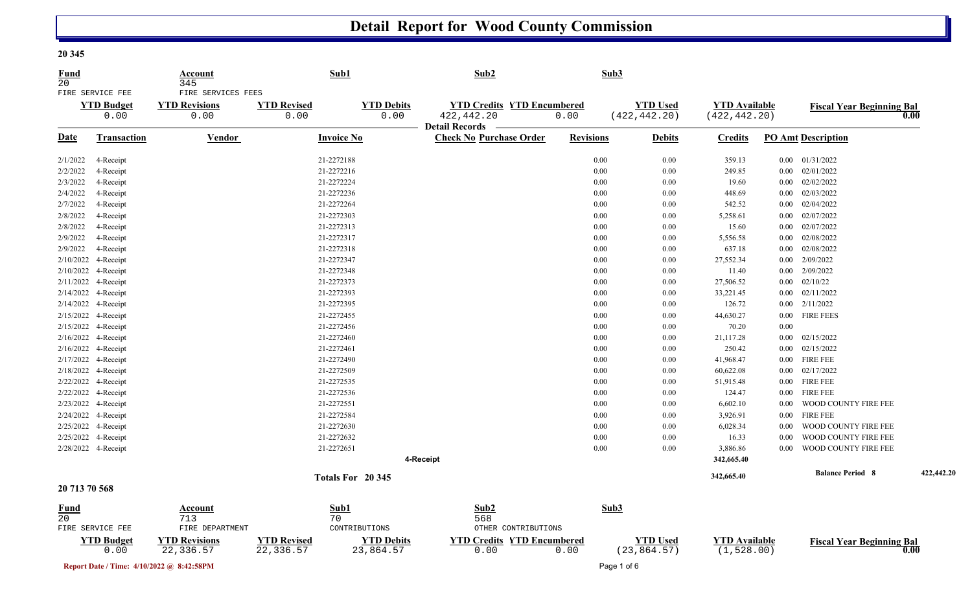## **Detail Report for Wood County Commission**

**20 345** 

| <u>Fund</u><br>20 |                                               | Account<br>345                                     |                                 | Sub1                           | Sub2                                                    |                  | Sub3     |                                  |                                       |          |                                  |            |
|-------------------|-----------------------------------------------|----------------------------------------------------|---------------------------------|--------------------------------|---------------------------------------------------------|------------------|----------|----------------------------------|---------------------------------------|----------|----------------------------------|------------|
|                   | FIRE SERVICE FEE<br><b>YTD Budget</b><br>0.00 | FIRE SERVICES FEES<br><b>YTD Revisions</b><br>0.00 | <b>YTD Revised</b><br>0.00      | <b>YTD Debits</b><br>0.00      | <b>YTD Credits YTD Encumbered</b><br>422, 442.20        | 0.00             |          | <b>YTD Used</b><br>(422, 442.20) | <b>YTD Available</b><br>(422, 442.20) |          | <b>Fiscal Year Beginning Bal</b> | 0.00       |
| <u>Date</u>       | Transaction                                   | <b>Vendor</b>                                      |                                 | <b>Invoice No</b>              | <b>Detail Records</b><br><b>Check No Purchase Order</b> | <b>Revisions</b> |          | <b>Debits</b>                    | <b>Credits</b>                        |          | <b>PO Amt Description</b>        |            |
| 2/1/2022          | 4-Receipt                                     |                                                    |                                 | 21-2272188                     |                                                         |                  | $0.00\,$ | $0.00\,$                         | 359.13                                |          | $0.00$ $01/31/2022$              |            |
| 2/2/2022          | 4-Receipt                                     |                                                    |                                 | 21-2272216                     |                                                         |                  | 0.00     | 0.00                             | 249.85                                |          | $0.00$ $02/01/2022$              |            |
| 2/3/2022          | 4-Receipt                                     |                                                    |                                 | 21-2272224                     |                                                         |                  | 0.00     | $0.00\,$                         | 19.60                                 |          | $0.00$ $02/02/2022$              |            |
| 2/4/2022          | 4-Receipt                                     |                                                    |                                 | 21-2272236                     |                                                         |                  | 0.00     | 0.00                             | 448.69                                | $0.00\,$ | 02/03/2022                       |            |
| 2/7/2022          | 4-Receipt                                     |                                                    |                                 | 21-2272264                     |                                                         |                  | 0.00     | 0.00                             | 542.52                                | $0.00\,$ | 02/04/2022                       |            |
| 2/8/2022          | 4-Receipt                                     |                                                    |                                 | 21-2272303                     |                                                         |                  | 0.00     | $0.00\,$                         | 5,258.61                              |          | $0.00$ $02/07/2022$              |            |
| 2/8/2022          | 4-Receipt                                     |                                                    |                                 | 21-2272313                     |                                                         |                  | 0.00     | 0.00                             | 15.60                                 | $0.00\,$ | 02/07/2022                       |            |
| 2/9/2022          | 4-Receipt                                     |                                                    |                                 | 21-2272317                     |                                                         |                  | 0.00     | 0.00                             | 5,556.58                              | $0.00\,$ | 02/08/2022                       |            |
| 2/9/2022          | 4-Receipt                                     |                                                    |                                 | 21-2272318                     |                                                         |                  | 0.00     | $0.00\,$                         | 637.18                                | $0.00\,$ | 02/08/2022                       |            |
| 2/10/2022         | 4-Receipt                                     |                                                    |                                 | 21-2272347                     |                                                         |                  | 0.00     | $0.00\,$                         | 27,552.34                             | $0.00\,$ | 2/09/2022                        |            |
| 2/10/2022         | 4-Receipt                                     |                                                    |                                 | 21-2272348                     |                                                         |                  | 0.00     | 0.00                             | 11.40                                 | $0.00\,$ | 2/09/2022                        |            |
| 2/11/2022         | 4-Receipt                                     |                                                    |                                 | 21-2272373                     |                                                         |                  | 0.00     | $0.00\,$                         | 27,506.52                             |          | $0.00$ $02/10/22$                |            |
| 2/14/2022         | 4-Receipt                                     |                                                    |                                 | 21-2272393                     |                                                         |                  | 0.00     | $0.00\,$                         | 33,221.45                             |          | $0.00$ $02/11/2022$              |            |
| 2/14/2022         | 4-Receipt                                     |                                                    |                                 | 21-2272395                     |                                                         |                  | 0.00     | 0.00                             | 126.72                                | $0.00\,$ | 2/11/2022                        |            |
|                   | 2/15/2022 4-Receipt                           |                                                    |                                 | 21-2272455                     |                                                         |                  | 0.00     | $0.00\,$                         | 44,630.27                             |          | 0.00 FIRE FEES                   |            |
| 2/15/2022         | 4-Receipt                                     |                                                    |                                 | 21-2272456                     |                                                         |                  | 0.00     | 0.00                             | 70.20                                 | 0.00     |                                  |            |
|                   | 2/16/2022 4-Receipt                           |                                                    |                                 | 21-2272460                     |                                                         |                  | 0.00     | 0.00                             | 21,117.28                             | $0.00\,$ | 02/15/2022                       |            |
|                   | 2/16/2022 4-Receipt                           |                                                    |                                 | 21-2272461                     |                                                         |                  | 0.00     | $0.00\,$                         | 250.42                                |          | $0.00$ $02/15/2022$              |            |
|                   | 2/17/2022 4-Receipt                           |                                                    |                                 | 21-2272490                     |                                                         |                  | 0.00     | 0.00                             | 41,968.47                             |          | 0.00 FIRE FEE                    |            |
|                   | 2/18/2022 4-Receipt                           |                                                    |                                 | 21-2272509                     |                                                         |                  | 0.00     | 0.00                             | 60,622.08                             | $0.00\,$ | 02/17/2022                       |            |
|                   | 2/22/2022 4-Receipt                           |                                                    |                                 | 21-2272535                     |                                                         |                  | 0.00     | 0.00                             | 51,915.48                             |          | 0.00 FIRE FEE                    |            |
|                   | 2/22/2022 4-Receipt                           |                                                    |                                 | 21-2272536                     |                                                         |                  | 0.00     | 0.00                             | 124.47                                | $0.00\,$ | <b>FIRE FEE</b>                  |            |
|                   | 2/23/2022 4-Receipt                           |                                                    |                                 | 21-2272551                     |                                                         |                  | 0.00     | 0.00                             | 6,602.10                              | 0.00     | WOOD COUNTY FIRE FEE             |            |
|                   | 2/24/2022 4-Receipt                           |                                                    |                                 | 21-2272584                     |                                                         |                  | 0.00     | 0.00                             | 3,926.91                              |          | 0.00 FIRE FEE                    |            |
|                   | 2/25/2022 4-Receipt                           |                                                    |                                 | 21-2272630                     |                                                         |                  | 0.00     | 0.00                             | 6,028.34                              | 0.00     | WOOD COUNTY FIRE FEE             |            |
|                   | 2/25/2022 4-Receipt                           |                                                    |                                 | 21-2272632                     |                                                         |                  | 0.00     | $0.00\,$                         | 16.33                                 | 0.00     | WOOD COUNTY FIRE FEE             |            |
|                   | 2/28/2022 4-Receipt                           |                                                    |                                 | 21-2272651                     |                                                         |                  | 0.00     | 0.00                             | 3,886.86                              | $0.00\,$ | WOOD COUNTY FIRE FEE             |            |
|                   |                                               |                                                    |                                 |                                | 4-Receipt                                               |                  |          |                                  | 342,665.40                            |          |                                  |            |
|                   |                                               |                                                    |                                 | Totals For 20 345              |                                                         |                  |          |                                  | 342,665.40                            |          | <b>Balance Period 8</b>          | 422,442.20 |
| 20 713 70 568     |                                               |                                                    |                                 |                                |                                                         |                  |          |                                  |                                       |          |                                  |            |
| <b>Fund</b>       |                                               | <b>Account</b>                                     |                                 | Sub1                           | Sub2                                                    |                  | Sub3     |                                  |                                       |          |                                  |            |
| 20                |                                               | 713                                                |                                 | 70                             | 568                                                     |                  |          |                                  |                                       |          |                                  |            |
|                   | FIRE SERVICE FEE                              | FIRE DEPARTMENT                                    |                                 | CONTRIBUTIONS                  | OTHER CONTRIBUTIONS                                     |                  |          |                                  |                                       |          |                                  |            |
|                   | <b>YTD Budget</b><br>0.00                     | <b>YTD Revisions</b><br>22,336.57                  | <b>YTD Revised</b><br>22,336.57 | <b>YTD Debits</b><br>23,864.57 | <b>YTD Credits YTD Encumbered</b><br>0.00               | 0.00             |          | <b>YTD Used</b><br>(23, 864.57)  | <b>YTD</b> Available<br>(1, 528.00)   |          | <b>Fiscal Year Beginning Bal</b> | 0.00       |

**Report Date / Time: 4/10/2022 @ 8:42:58PM** Page 1 of 6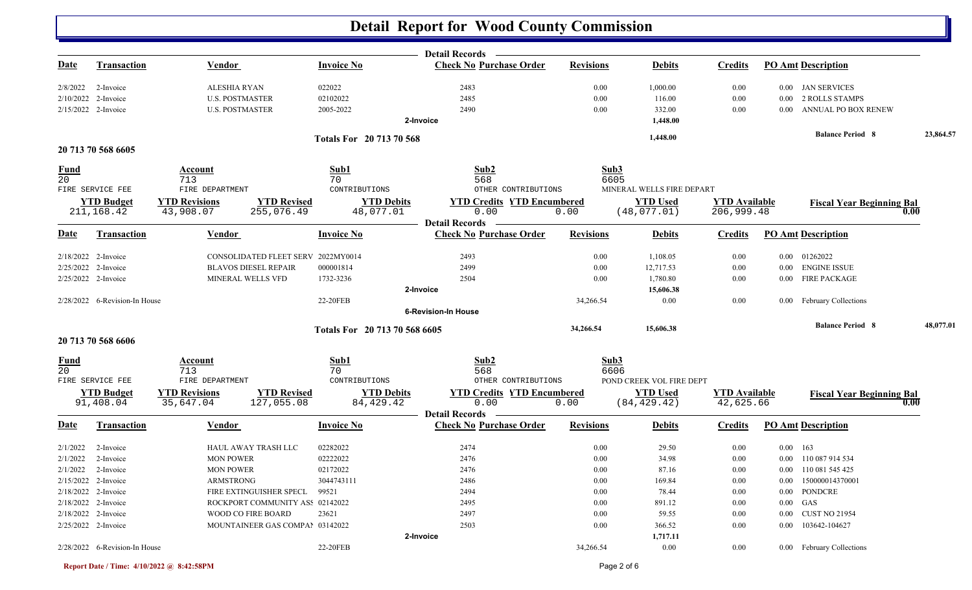## **Detail Report for Wood County Commission**

|                 |                               |                                            |                               | Detail Records —                                        |                  |                           |                      |                           |                                  |           |
|-----------------|-------------------------------|--------------------------------------------|-------------------------------|---------------------------------------------------------|------------------|---------------------------|----------------------|---------------------------|----------------------------------|-----------|
| <b>Date</b>     | <b>Transaction</b>            | <b>Vendor</b>                              | <b>Invoice No</b>             | <b>Check No Purchase Order</b>                          | <b>Revisions</b> | <b>Debits</b>             | <b>Credits</b>       | <b>PO Amt Description</b> |                                  |           |
| 2/8/2022        | 2-Invoice                     | ALESHIA RYAN                               | 022022                        | 2483                                                    | 0.00             | 1,000.00                  | 0.00                 |                           | 0.00 JAN SERVICES                |           |
|                 | 2/10/2022 2-Invoice           | <b>U.S. POSTMASTER</b>                     | 02102022                      | 2485                                                    | 0.00             | 116.00                    | 0.00                 | $0.00\,$                  | <b>2 ROLLS STAMPS</b>            |           |
|                 | 2/15/2022 2-Invoice           | <b>U.S. POSTMASTER</b>                     | 2005-2022                     | 2490                                                    | 0.00             | 332.00                    | 0.00                 | 0.00                      | ANNUAL PO BOX RENEW              |           |
|                 |                               |                                            |                               | 2-Invoice                                               |                  | 1,448.00                  |                      |                           |                                  |           |
|                 |                               |                                            | Totals For 20 713 70 568      |                                                         |                  | 1,448.00                  |                      |                           | <b>Balance Period 8</b>          | 23,864.57 |
|                 | 20 713 70 568 6605            |                                            |                               |                                                         |                  |                           |                      |                           |                                  |           |
| <b>Fund</b>     |                               | Account                                    | Sub1                          | Sub2                                                    | Sub3             |                           |                      |                           |                                  |           |
| 20              |                               | 713                                        | 70                            | 568                                                     | 6605             |                           |                      |                           |                                  |           |
|                 | FIRE SERVICE FEE              | FIRE DEPARTMENT                            | CONTRIBUTIONS                 | OTHER CONTRIBUTIONS                                     |                  | MINERAL WELLS FIRE DEPART |                      |                           |                                  |           |
|                 | <b>YTD Budget</b>             | <b>YTD Revisions</b><br><b>YTD Revised</b> | <b>YTD Debits</b>             | <b>YTD Credits YTD Encumbered</b>                       |                  | <b>YTD Used</b>           | <b>YTD</b> Available |                           | <b>Fiscal Year Beginning Bal</b> |           |
|                 | 211, 168.42                   | 43,908.07<br>255,076.49                    | 48,077.01                     | 0.00                                                    | 0.00             | (48,077.01)               | 206,999.48           |                           |                                  | 0.00      |
|                 |                               |                                            |                               | <b>Detail Records</b>                                   |                  |                           |                      |                           |                                  |           |
| <u>Date</u>     | <b>Transaction</b>            | Vendor                                     | <b>Invoice No</b>             | <b>Check No Purchase Order</b>                          | <b>Revisions</b> | <b>Debits</b>             | <b>Credits</b>       | <b>PO Amt Description</b> |                                  |           |
|                 | 2/18/2022 2-Invoice           | CONSOLIDATED FLEET SERV 2022MY0014         |                               | 2493                                                    | 0.00             | 1,108.05                  | 0.00                 | 0.00 01262022             |                                  |           |
|                 | 2/25/2022 2-Invoice           | <b>BLAVOS DIESEL REPAIR</b>                | 000001814                     | 2499                                                    | 0.00             | 12,717.53                 | 0.00                 |                           | 0.00 ENGINE ISSUE                |           |
|                 | 2/25/2022 2-Invoice           | MINERAL WELLS VFD                          | 1732-3236                     | 2504                                                    | 0.00             | 1,780.80                  | 0.00                 |                           | 0.00 FIRE PACKAGE                |           |
|                 |                               |                                            |                               | 2-Invoice                                               |                  | 15,606.38                 |                      |                           |                                  |           |
|                 | 2/28/2022 6-Revision-In House |                                            | 22-20FEB                      |                                                         | 34,266.54        | 0.00                      | 0.00                 |                           | 0.00 February Collections        |           |
|                 |                               |                                            |                               | <b>6-Revision-In House</b>                              |                  |                           |                      |                           |                                  |           |
|                 |                               |                                            | Totals For 20 713 70 568 6605 |                                                         | 34,266.54        | 15,606.38                 |                      |                           | <b>Balance Period 8</b>          | 48,077.01 |
|                 | 20 713 70 568 6606            |                                            |                               |                                                         |                  |                           |                      |                           |                                  |           |
| <b>Fund</b>     |                               | Account                                    | Sub1                          | Sub2                                                    | Sub3             |                           |                      |                           |                                  |           |
| $\overline{20}$ |                               | 713                                        | 70                            | 568                                                     | 6606             |                           |                      |                           |                                  |           |
|                 | FIRE SERVICE FEE              | FIRE DEPARTMENT                            | CONTRIBUTIONS                 | OTHER CONTRIBUTIONS                                     |                  | POND CREEK VOL FIRE DEPT  |                      |                           |                                  |           |
|                 | <b>YTD Budget</b>             | <b>YTD Revised</b><br><b>YTD Revisions</b> | <b>YTD Debits</b>             | <b>YTD Credits YTD Encumbered</b>                       |                  | <b>YTD Used</b>           | <b>YTD Available</b> |                           | <b>Fiscal Year Beginning Bal</b> |           |
|                 | 91,408.04                     | 35,647.04<br>127,055.08                    | 84, 429. 42                   | 0.00                                                    | 0.00             | (84, 429.42)              | 42,625.66            |                           |                                  | 0.00      |
| <b>Date</b>     | Transaction                   | Vendor                                     | <b>Invoice No</b>             | <b>Detail Records</b><br><b>Check No Purchase Order</b> | <b>Revisions</b> | <b>Debits</b>             | <b>Credits</b>       | <b>PO Amt Description</b> |                                  |           |
|                 |                               |                                            |                               |                                                         |                  |                           |                      |                           |                                  |           |
| 2/1/2022        | 2-Invoice                     | HAUL AWAY TRASH LLC                        | 02282022                      | 2474                                                    | 0.00             | 29.50                     | 0.00                 | $0.00 \quad 163$          |                                  |           |
| 2/1/2022        | 2-Invoice                     | <b>MON POWER</b>                           | 02222022                      | 2476                                                    | 0.00             | 34.98                     | 0.00                 |                           | 0.00 110 087 914 534             |           |
|                 | $2/1/2022$ 2-Invoice          | <b>MON POWER</b>                           | 02172022                      | 2476                                                    | 0.00             | 87.16                     | 0.00                 |                           | 0.00 110 081 545 425             |           |
|                 | 2/15/2022 2-Invoice           | ARMSTRONG                                  | 3044743111                    | 2486                                                    | $0.00\,$         | 169.84                    | $0.00\,$             |                           | 0.00 150000014370001             |           |
|                 | $2/18/2022$ 2-Invoice         | FIRE EXTINGUISHER SPECL                    | 99521                         | 2494                                                    | 0.00             | 78.44                     | 0.00                 |                           | 0.00 PONDCRE                     |           |
|                 | 2/18/2022 2-Invoice           | ROCKPORT COMMUNITY ASS 02142022            |                               | 2495                                                    | 0.00             | 891.12                    | 0.00                 | $0.00$ GAS                |                                  |           |
|                 | 2/18/2022 2-Invoice           | WOOD CO FIRE BOARD                         | 23621                         | 2497                                                    | 0.00             | 59.55                     | 0.00                 |                           | 0.00 CUST NO 21954               |           |
|                 | 2/25/2022 2-Invoice           | MOUNTAINEER GAS COMPAI 03142022            |                               | 2503                                                    | 0.00             | 366.52                    | 0.00                 |                           | 0.00 103642-104627               |           |
|                 |                               |                                            |                               | 2-Invoice                                               |                  | 1,717.11                  |                      |                           |                                  |           |
|                 | 2/28/2022 6-Revision-In House |                                            | 22-20FEB                      |                                                         | 34,266.54        | 0.00                      | 0.00                 |                           | 0.00 February Collections        |           |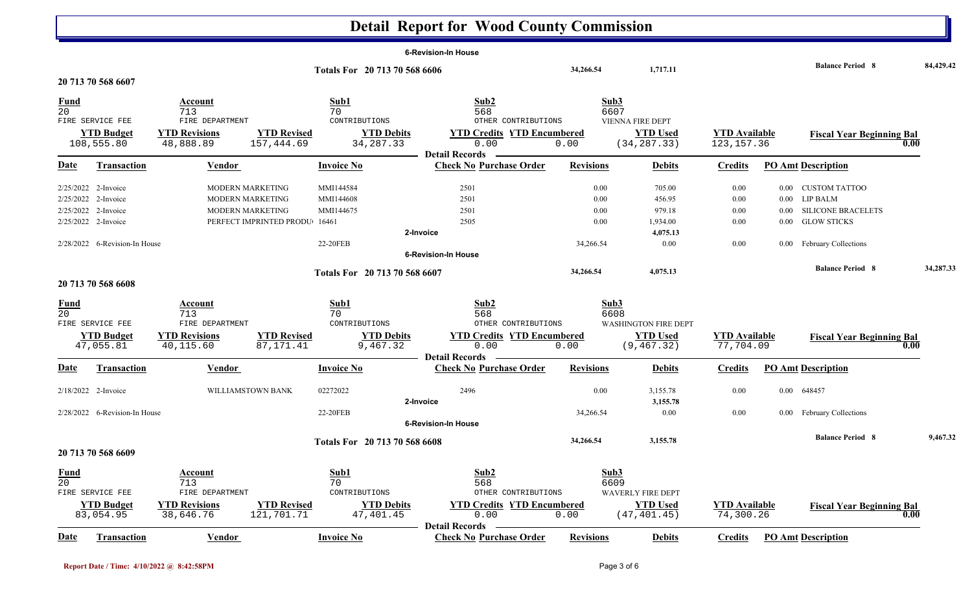## **Detail Report for Wood County Commission**

|                 |                               |                      |                               |                               |                   | <b>6-Revision-In House</b>                              |                  |                             |                      |          |                                  |           |
|-----------------|-------------------------------|----------------------|-------------------------------|-------------------------------|-------------------|---------------------------------------------------------|------------------|-----------------------------|----------------------|----------|----------------------------------|-----------|
|                 |                               |                      |                               | Totals For 20 713 70 568 6606 |                   |                                                         | 34,266.54        | 1,717.11                    |                      |          | <b>Balance Period 8</b>          | 84,429.42 |
|                 | 20 713 70 568 6607            |                      |                               |                               |                   |                                                         |                  |                             |                      |          |                                  |           |
| Fund            |                               | Account              |                               | Sub1                          |                   | Sub2                                                    |                  | Sub3                        |                      |          |                                  |           |
| 20              |                               | 713                  |                               | 70                            |                   | 568                                                     |                  | 6607                        |                      |          |                                  |           |
|                 | FIRE SERVICE FEE              | FIRE DEPARTMENT      |                               | CONTRIBUTIONS                 |                   | OTHER CONTRIBUTIONS                                     |                  | <b>VIENNA FIRE DEPT</b>     |                      |          |                                  |           |
|                 | <b>YTD Budget</b>             | <b>YTD Revisions</b> | <b>YTD Revised</b>            |                               | <b>YTD Debits</b> | <b>YTD Credits YTD Encumbered</b>                       |                  | <b>YTD Used</b>             | <b>YTD Available</b> |          | <b>Fiscal Year Beginning Bal</b> |           |
|                 | 108,555.80                    | 48,888.89            | 157,444.69                    | 34, 287. 33                   |                   | 0.00                                                    | 0.00             | (34, 287.33)                | 123, 157.36          |          |                                  | 0.00      |
|                 |                               |                      |                               |                               |                   | <b>Detail Records</b>                                   |                  |                             |                      |          |                                  |           |
| Date            | Transaction                   | Vendor               |                               | <b>Invoice No</b>             |                   | <b>Check No Purchase Order</b>                          | <b>Revisions</b> | <b>Debits</b>               | <b>Credits</b>       |          | <b>PO Amt Description</b>        |           |
|                 | 2/25/2022 2-Invoice           |                      | MODERN MARKETING              | MMI144584                     |                   | 2501                                                    | 0.00             | 705.00                      | 0.00                 | 0.00     | <b>CUSTOM TATTOO</b>             |           |
|                 | 2/25/2022 2-Invoice           |                      | MODERN MARKETING              | MMI144608                     |                   | 2501                                                    | 0.00             | 456.95                      | 0.00                 | 0.00     | <b>LIP BALM</b>                  |           |
|                 | 2/25/2022 2-Invoice           |                      | MODERN MARKETING              | MMI144675                     |                   | 2501                                                    | 0.00             | 979.18                      | 0.00                 | 0.00     | <b>SILICONE BRACELETS</b>        |           |
|                 | 2/25/2022 2-Invoice           |                      | PERFECT IMPRINTED PRODU 16461 |                               |                   | 2505                                                    | 0.00             | 1,934.00                    | 0.00                 | 0.00     | <b>GLOW STICKS</b>               |           |
|                 |                               |                      |                               |                               |                   | 2-Invoice                                               |                  | 4,075.13                    |                      |          |                                  |           |
|                 | 2/28/2022 6-Revision-In House |                      |                               | 22-20FEB                      |                   |                                                         | 34,266.54        | 0.00                        | 0.00                 | $0.00\,$ | <b>February Collections</b>      |           |
|                 |                               |                      |                               |                               |                   | <b>6-Revision-In House</b>                              |                  |                             |                      |          |                                  |           |
|                 |                               |                      |                               | Totals For 20 713 70 568 6607 |                   |                                                         | 34,266.54        | 4,075.13                    |                      |          | <b>Balance Period 8</b>          | 34,287.33 |
|                 | 20 713 70 568 6608            |                      |                               |                               |                   |                                                         |                  |                             |                      |          |                                  |           |
| <u>Fund</u>     |                               | Account              |                               | Sub1                          |                   | Sub2                                                    |                  | Sub3                        |                      |          |                                  |           |
| 20              |                               | 713                  |                               | 70                            |                   | 568                                                     |                  | 6608                        |                      |          |                                  |           |
|                 | FIRE SERVICE FEE              | FIRE DEPARTMENT      |                               | CONTRIBUTIONS                 |                   | OTHER CONTRIBUTIONS                                     |                  | <b>WASHINGTON FIRE DEPT</b> |                      |          |                                  |           |
|                 | <b>YTD Budget</b>             | <b>YTD Revisions</b> | <b>YTD Revised</b>            |                               | <b>YTD Debits</b> | <b>YTD Credits YTD Encumbered</b>                       |                  | <b>YTD Used</b>             | <b>YTD</b> Available |          | <b>Fiscal Year Beginning Bal</b> |           |
|                 | 47,055.81                     | 40,115.60            | 87, 171.41                    |                               | 9,467.32          | 0.00                                                    | 0.00             | (9, 467.32)                 | 77,704.09            |          |                                  | 0.00      |
| <u>Date</u>     | <b>Transaction</b>            | Vendor               |                               | <b>Invoice No</b>             |                   | <b>Detail Records</b><br><b>Check No Purchase Order</b> | <b>Revisions</b> | <b>Debits</b>               | <b>Credits</b>       |          | <b>PO Amt Description</b>        |           |
|                 | 2/18/2022 2-Invoice           |                      | WILLIAMSTOWN BANK             | 02272022                      |                   | 2496                                                    | 0.00             | 3,155.78                    | 0.00                 |          | 0.00 648457                      |           |
|                 |                               |                      |                               |                               |                   | 2-Invoice                                               |                  | 3,155.78                    |                      |          |                                  |           |
|                 | 2/28/2022 6-Revision-In House |                      |                               | 22-20FEB                      |                   |                                                         | 34,266.54        | 0.00                        | 0.00                 |          | 0.00 February Collections        |           |
|                 |                               |                      |                               |                               |                   | <b>6-Revision-In House</b>                              |                  |                             |                      |          |                                  |           |
|                 |                               |                      |                               | Totals For 20 713 70 568 6608 |                   |                                                         | 34,266.54        | 3,155.78                    |                      |          | <b>Balance Period 8</b>          | 9,467.32  |
|                 | 20 713 70 568 6609            |                      |                               |                               |                   |                                                         |                  |                             |                      |          |                                  |           |
| <b>Fund</b>     |                               | <u>Account</u>       |                               | Sub1                          |                   | Sub2                                                    |                  | Sub3                        |                      |          |                                  |           |
| $\overline{20}$ |                               | 713                  |                               | 70                            |                   | 568                                                     |                  | 6609                        |                      |          |                                  |           |
|                 | FIRE SERVICE FEE              | FIRE DEPARTMENT      |                               | CONTRIBUTIONS                 |                   | OTHER CONTRIBUTIONS                                     |                  | <b>WAVERLY FIRE DEPT</b>    |                      |          |                                  |           |
|                 | <b>YTD Budget</b>             | <b>YTD Revisions</b> | <b>YTD Revised</b>            |                               | <b>YTD Debits</b> | <b>YTD Credits YTD Encumbered</b>                       |                  | <b>YTD Used</b>             | <b>YTD Available</b> |          | <b>Fiscal Year Beginning Bal</b> |           |
|                 | 83,054.95                     | 38,646.76            | 121,701.71                    | 47, 401.45                    |                   | 0.00                                                    | 0.00             | (47, 401.45)                | 74,300.26            |          |                                  | 0.00      |
|                 |                               |                      |                               |                               |                   | <b>Detail Records</b>                                   |                  |                             |                      |          |                                  |           |
| Date            | <b>Transaction</b>            | Vendor               |                               | <b>Invoice No</b>             |                   | <b>Check No Purchase Order</b>                          | <b>Revisions</b> | <b>Debits</b>               | <b>Credits</b>       |          | <b>PO Amt Description</b>        |           |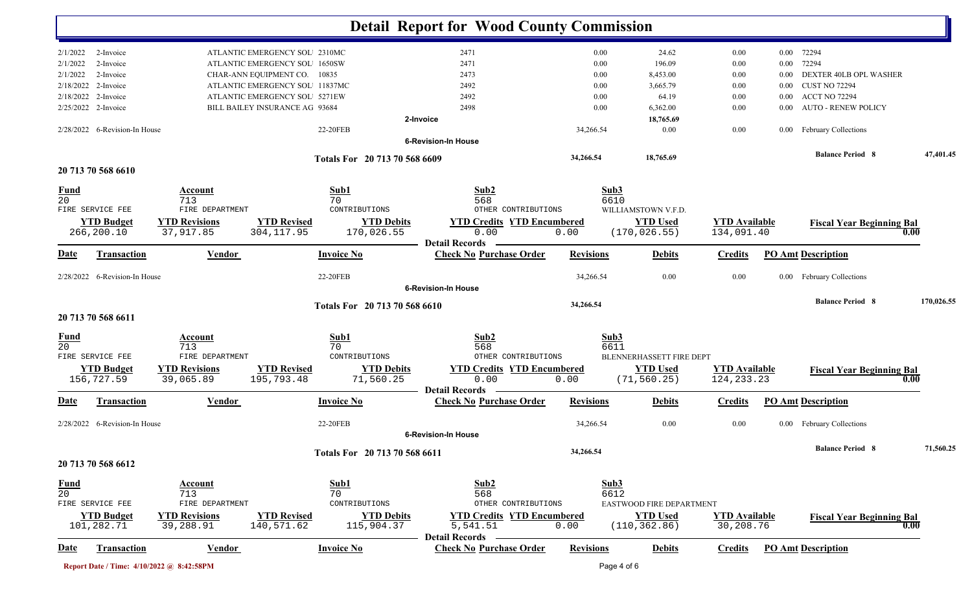|                                           |                      |                                |                                | <b>Detail Report for Wood County Commission</b>         |                  |                          |                      |          |                                  |            |
|-------------------------------------------|----------------------|--------------------------------|--------------------------------|---------------------------------------------------------|------------------|--------------------------|----------------------|----------|----------------------------------|------------|
| 2/1/2022<br>2-Invoice                     |                      | ATLANTIC EMERGENCY SOL 2310MC  |                                | 2471                                                    | 0.00             | 24.62                    | 0.00                 |          | 0.00 72294                       |            |
| 2-Invoice<br>2/1/2022                     |                      | ATLANTIC EMERGENCY SOL 1650SW  |                                | 2471                                                    | 0.00             | 196.09                   | 0.00                 | $0.00\,$ | 72294                            |            |
| 2-Invoice<br>2/1/2022                     |                      | CHAR-ANN EQUIPMENT CO. 10835   |                                | 2473                                                    | 0.00             | 8,453.00                 | 0.00                 | 0.00     | DEXTER 40LB OPL WASHER           |            |
| 2/18/2022 2-Invoice                       |                      | ATLANTIC EMERGENCY SOL 11837MC |                                | 2492                                                    | 0.00             | 3,665.79                 | 0.00                 | 0.00     | <b>CUST NO 72294</b>             |            |
| 2-Invoice<br>2/18/2022                    |                      | ATLANTIC EMERGENCY SOL 5271EW  |                                | 2492                                                    | 0.00             | 64.19                    | 0.00                 | $0.00\,$ | <b>ACCT NO 72294</b>             |            |
| 2/25/2022 2-Invoice                       |                      | BILL BAILEY INSURANCE AG 93684 |                                | 2498                                                    | 0.00             | 6,362.00                 | 0.00                 | 0.00     | <b>AUTO - RENEW POLICY</b>       |            |
|                                           |                      |                                |                                | 2-Invoice                                               |                  | 18,765.69                |                      |          |                                  |            |
| 2/28/2022 6-Revision-In House             |                      |                                | 22-20FEB                       |                                                         | 34,266.54        | 0.00                     | 0.00                 |          | 0.00 February Collections        |            |
|                                           |                      |                                |                                | <b>6-Revision-In House</b>                              |                  |                          |                      |          |                                  |            |
|                                           |                      |                                | Totals For 20 713 70 568 6609  |                                                         | 34,266.54        | 18,765.69                |                      |          | <b>Balance Period 8</b>          | 47,401.45  |
| 20 713 70 568 6610                        |                      |                                |                                |                                                         |                  |                          |                      |          |                                  |            |
| <b>Fund</b>                               | Account              |                                | Sub1                           | Sub2                                                    |                  | Sub3                     |                      |          |                                  |            |
| $\overline{20}$                           | 713                  |                                | 70                             | 568                                                     |                  | 6610                     |                      |          |                                  |            |
| FIRE SERVICE FEE                          | FIRE DEPARTMENT      |                                | CONTRIBUTIONS                  | OTHER CONTRIBUTIONS                                     |                  | WILLIAMSTOWN V.F.D.      |                      |          |                                  |            |
| <b>YTD Budget</b>                         | <b>YTD Revisions</b> | <b>YTD Revised</b>             | <b>YTD Debits</b>              | <b>YTD Credits YTD Encumbered</b>                       |                  | <b>YTD Used</b>          | <b>YTD</b> Available |          | <b>Fiscal Year Beginning Bal</b> |            |
| 266,200.10                                | 37,917.85            | 304, 117.95                    | 170,026.55                     | 0.00                                                    | 0.00             | (170, 026.55)            | 134,091.40           |          |                                  | 0.00       |
| Transaction<br>Date                       | Vendor               |                                | <b>Invoice No</b>              | <b>Detail Records</b><br><b>Check No Purchase Order</b> | <b>Revisions</b> | <b>Debits</b>            | <b>Credits</b>       |          | <b>PO Amt Description</b>        |            |
| 2/28/2022 6-Revision-In House             |                      |                                | 22-20FEB                       |                                                         | 34,266.54        | 0.00                     | 0.00                 |          | 0.00 February Collections        |            |
|                                           |                      |                                |                                | <b>6-Revision-In House</b>                              |                  |                          |                      |          |                                  |            |
|                                           |                      |                                | Totals For 20 713 70 568 6610  |                                                         | 34,266.54        |                          |                      |          | <b>Balance Period 8</b>          | 170,026.55 |
| 20 713 70 568 6611                        |                      |                                |                                |                                                         |                  |                          |                      |          |                                  |            |
| <b>Fund</b>                               | <b>Account</b>       |                                | Sub1                           | Sub2                                                    |                  | Sub3                     |                      |          |                                  |            |
| 20                                        | 713                  |                                | 70                             | 568                                                     |                  | 6611                     |                      |          |                                  |            |
| FIRE SERVICE FEE                          | FIRE DEPARTMENT      |                                | CONTRIBUTIONS                  | OTHER CONTRIBUTIONS                                     |                  | BLENNERHASSETT FIRE DEPT |                      |          |                                  |            |
| <b>YTD Budget</b><br>156,727.59           | <b>YTD Revisions</b> | <b>YTD Revised</b>             | <b>YTD Debits</b><br>71,560.25 | <b>YTD Credits YTD Encumbered</b><br>0.00               |                  | <b>YTD Used</b>          | <b>YTD Available</b> |          | <b>Fiscal Year Beginning Bal</b> | 0.00       |
|                                           | 39,065.89            | 195,793.48                     |                                | <b>Detail Records</b>                                   | 0.00             | (71, 560.25)             | 124, 233. 23         |          |                                  |            |
| Transaction<br>Date                       | <b>Vendor</b>        |                                | <b>Invoice No</b>              | <b>Check No Purchase Order</b>                          | <b>Revisions</b> | <b>Debits</b>            | <b>Credits</b>       |          | <b>PO Amt Description</b>        |            |
| 2/28/2022 6-Revision-In House             |                      |                                | 22-20FEB                       |                                                         | 34,266.54        | 0.00                     | 0.00                 | $0.00\,$ | <b>February Collections</b>      |            |
|                                           |                      |                                |                                | <b>6-Revision-In House</b>                              |                  |                          |                      |          |                                  |            |
|                                           |                      |                                | Totals For 20 713 70 568 6611  |                                                         | 34,266.54        |                          |                      |          | <b>Balance Period 8</b>          | 71,560.25  |
| 20 713 70 568 6612                        |                      |                                |                                |                                                         |                  |                          |                      |          |                                  |            |
| <b>Fund</b>                               | Account              |                                | Sub1                           | Sub2                                                    |                  | Sub3                     |                      |          |                                  |            |
| $\overline{20}$                           | 713                  |                                | 70                             | 568                                                     |                  | 6612                     |                      |          |                                  |            |
| FIRE SERVICE FEE                          | FIRE DEPARTMENT      |                                | CONTRIBUTIONS                  | OTHER CONTRIBUTIONS                                     |                  | EASTWOOD FIRE DEPARTMENT |                      |          |                                  |            |
| <b>YTD Budget</b>                         | <b>YTD Revisions</b> | <b>YTD Revised</b>             | <b>YTD Debits</b>              | <b>YTD Credits YTD Encumbered</b>                       |                  | <b>YTD Used</b>          | <b>YTD Available</b> |          | <b>Fiscal Year Beginning Bal</b> |            |
| 101,282.71                                | 39,288.91            | 140,571.62                     | 115,904.37                     | 5,541.51<br><b>Detail Records</b>                       | 0.00             | (110, 362.86)            | 30,208.76            |          |                                  | 0.00       |
| <u>Date</u><br><b>Transaction</b>         | <b>Vendor</b>        |                                | <b>Invoice No</b>              | <b>Check No Purchase Order</b>                          | <b>Revisions</b> | <b>Debits</b>            | <b>Credits</b>       |          | <b>PO Amt Description</b>        |            |
| Report Date / Time: 4/10/2022 @ 8:42:58PM |                      |                                |                                |                                                         |                  | Page 4 of 6              |                      |          |                                  |            |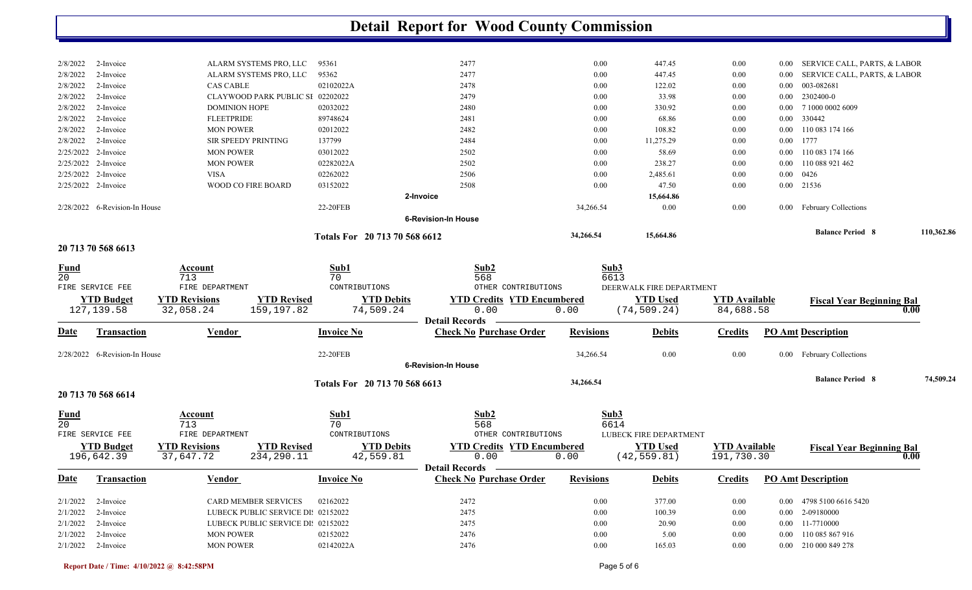|                                |                                 |                                                                                  |                                         | <b>Detail Report for Wood County Commission</b>    |                  |                                 |                                    |              |                                  |            |
|--------------------------------|---------------------------------|----------------------------------------------------------------------------------|-----------------------------------------|----------------------------------------------------|------------------|---------------------------------|------------------------------------|--------------|----------------------------------|------------|
|                                |                                 |                                                                                  |                                         |                                                    |                  |                                 |                                    |              |                                  |            |
| 2/8/2022                       | 2-Invoice                       | ALARM SYSTEMS PRO, LLC                                                           | 95361                                   | 2477                                               | 0.00             | 447.45                          | 0.00                               | 0.00         | SERVICE CALL, PARTS, & LABOR     |            |
| 2/8/2022                       | 2-Invoice                       | ALARM SYSTEMS PRO, LLC                                                           | 95362                                   | 2477                                               | 0.00             | 447.45                          | 0.00                               | $0.00\,$     | SERVICE CALL, PARTS, & LABOR     |            |
| 2/8/2022                       | 2-Invoice                       | <b>CAS CABLE</b>                                                                 | 02102022A                               | 2478                                               | 0.00             | 122.02                          | 0.00                               | $0.00\,$     | 003-082681                       |            |
| 2/8/2022                       | 2-Invoice                       | CLAYWOOD PARK PUBLIC SI 02202022                                                 |                                         | 2479                                               | $0.00\,$         | 33.98                           | 0.00                               | $0.00\,$     | 2302400-0                        |            |
| 2/8/2022                       | 2-Invoice                       | <b>DOMINION HOPE</b>                                                             | 02032022                                | 2480                                               | 0.00             | 330.92                          | 0.00                               | $0.00\,$     | 7 1000 0002 6009                 |            |
| 2/8/2022                       | 2-Invoice                       | <b>FLEETPRIDE</b>                                                                | 89748624                                | 2481                                               | $0.00\,$         | 68.86                           | 0.00                               | $0.00\,$     | 330442                           |            |
| 2/8/2022                       | 2-Invoice                       | <b>MON POWER</b>                                                                 | 02012022                                | 2482                                               | $0.00\,$         | 108.82                          | 0.00                               | $0.00\,$     | 110 083 174 166                  |            |
| 2/8/2022<br>2/25/2022          | 2-Invoice<br>2-Invoice          | <b>SIR SPEEDY PRINTING</b><br><b>MON POWER</b>                                   | 137799<br>03012022                      | 2484                                               | 0.00<br>0.00     | 11,275.29<br>58.69              | 0.00                               | $0.00\,$     | 1777<br>110 083 174 166          |            |
| 2/25/2022 2-Invoice            |                                 | <b>MON POWER</b>                                                                 | 02282022A                               | 2502<br>2502                                       | 0.00             | 238.27                          | 0.00                               | 0.00<br>0.00 | 110 088 921 462                  |            |
| 2/25/2022 2-Invoice            |                                 | <b>VISA</b>                                                                      | 02262022                                | 2506                                               | 0.00             | 2,485.61                        | 0.00<br>0.00                       | $0.00\,$     | 0426                             |            |
| 2/25/2022 2-Invoice            |                                 | WOOD CO FIRE BOARD                                                               | 03152022                                | 2508                                               | 0.00             | 47.50                           | 0.00                               |              | 0.00 21536                       |            |
|                                |                                 |                                                                                  |                                         | 2-Invoice                                          |                  | 15,664.86                       |                                    |              |                                  |            |
|                                | 2/28/2022 6-Revision-In House   |                                                                                  | 22-20FEB                                |                                                    | 34,266.54        | 0.00                            | 0.00                               | $0.00\,$     | February Collections             |            |
|                                |                                 |                                                                                  |                                         | <b>6-Revision-In House</b>                         |                  |                                 |                                    |              |                                  |            |
|                                |                                 |                                                                                  | Totals For 20 713 70 568 6612           |                                                    | 34,266.54        | 15,664.86                       |                                    |              | <b>Balance Period 8</b>          | 110,362.86 |
|                                | 20 713 70 568 6613              |                                                                                  |                                         |                                                    |                  |                                 |                                    |              |                                  |            |
| <u>Fund</u><br>$\overline{20}$ | FIRE SERVICE FEE                | <b>Account</b><br>713<br>FIRE DEPARTMENT                                         | Sub1<br>70<br>CONTRIBUTIONS             | Sub2<br>568<br>OTHER CONTRIBUTIONS                 | Sub3<br>6613     | DEERWALK FIRE DEPARTMENT        |                                    |              |                                  |            |
|                                | <b>YTD Budget</b>               | <b>YTD Revisions</b>                                                             | <b>YTD Revised</b><br><b>YTD Debits</b> | <b>YTD Credits YTD Encumbered</b>                  |                  | <b>YTD Used</b>                 | <b>YTD Available</b>               |              | <b>Fiscal Year Beginning Bal</b> |            |
|                                | 127, 139.58                     | 159,197.82<br>32,058.24                                                          | 74,509.24                               | 0.00                                               | 0.00             | (74, 509.24)                    | 84,688.58                          |              |                                  | 0.00       |
|                                |                                 |                                                                                  |                                         | <b>Detail Records</b>                              |                  |                                 |                                    |              |                                  |            |
| Date                           | <b>Transaction</b>              | <b>Vendor</b>                                                                    | <b>Invoice No</b>                       | <b>Check No Purchase Order</b>                     | <b>Revisions</b> | <b>Debits</b>                   | <b>Credits</b>                     |              | <b>PO Amt Description</b>        |            |
|                                | 2/28/2022 6-Revision-In House   |                                                                                  | 22-20FEB                                |                                                    | 34,266.54        | 0.00                            | 0.00                               | $0.00\,$     | <b>February Collections</b>      |            |
|                                |                                 |                                                                                  |                                         | <b>6-Revision-In House</b>                         |                  |                                 |                                    |              |                                  |            |
|                                | 20 713 70 568 6614              |                                                                                  | Totals For 20 713 70 568 6613           |                                                    | 34,266.54        |                                 |                                    |              | <b>Balance Period 8</b>          | 74,509.24  |
|                                |                                 |                                                                                  |                                         |                                                    |                  |                                 |                                    |              |                                  |            |
| <u>Fund</u>                    |                                 | <b>Account</b>                                                                   | Sub1                                    | Sub2                                               | Sub3             |                                 |                                    |              |                                  |            |
| 20                             |                                 | 713                                                                              | 70                                      | 568                                                | 6614             |                                 |                                    |              |                                  |            |
|                                | FIRE SERVICE FEE                | FIRE DEPARTMENT                                                                  | CONTRIBUTIONS                           | OTHER CONTRIBUTIONS                                |                  | LUBECK FIRE DEPARTMENT          |                                    |              |                                  |            |
|                                | <b>YTD Budget</b><br>196,642.39 | <b>YTD Revised</b><br><b>YTD Revisions</b> $\frac{111}{234,290.11}$<br>37,647.72 | <b>YTD Debits</b><br>42,559.81          | <b>YTD Credits YTD Encumbered</b><br>0.00          | 0.00             | <b>YTD Used</b><br>(42, 559.81) | <b>YTD Available</b><br>191,730.30 |              | <b>Fiscal Year Beginning Bal</b> | 0.00       |
| <b>Date</b>                    | Transaction                     | <b>Vendor</b>                                                                    | <b>Invoice No</b>                       | Detail Records —<br><b>Check No Purchase Order</b> | <b>Revisions</b> | <b>Debits</b>                   | <b>Credits</b>                     |              | <b>PO Amt Description</b>        |            |
| $2/1/2022$ 2-Invoice           |                                 | CARD MEMBER SERVICES                                                             | 02162022                                | 2472                                               | $0.00\,$         | 377.00                          | $0.00\,$                           |              | 0.00 4798 5100 6616 5420         |            |
| $2/1/2022$ 2-Invoice           |                                 | LUBECK PUBLIC SERVICE DI: 02152022                                               |                                         | 2475                                               | $0.00\,$         | 100.39                          | $0.00\,$                           |              | 0.00 2-09180000                  |            |
| $2/1/2022$ 2-Invoice           |                                 | LUBECK PUBLIC SERVICE DI: 02152022                                               |                                         | 2475                                               | $0.00\,$         | 20.90                           | $0.00\,$                           |              | 0.00 11-7710000                  |            |
| 2/1/2022 2-Invoice             |                                 | <b>MON POWER</b>                                                                 | 02152022                                | 2476                                               | $0.00\,$         | 5.00                            | $0.00\,$                           |              | 0.00 110 085 867 916             |            |
| $2/1/2022$ 2-Invoice           |                                 | <b>MON POWER</b>                                                                 | 02142022A                               | 2476                                               | $0.00\,$         | 165.03                          | $0.00\,$                           |              | 0.00 210 000 849 278             |            |